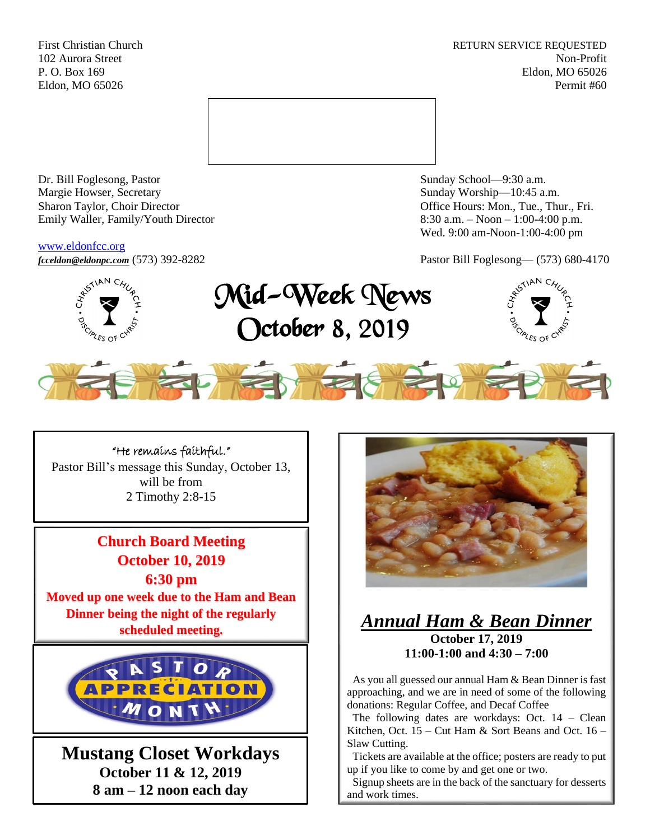First Christian Church **RETURN SERVICE REQUESTED** 102 Aurora Street Non-Profit P. O. Box 169 Eldon, MO 65026 Eldon, MO 65026 Permit #60



Dr. Bill Foglesong, Pastor Sunday School—9:30 a.m. Margie Howser, Secretary Sunday Worship—10:45 a.m. Sharon Taylor, Choir Director **Channel Controllering Controllering Controllering Controllering Controllering Controllering Controllering Controllering Controllering Controllering Controllering Controllering Controllering C** Emily Waller, Family/Youth Director 8:30 a.m. – Noon – 1:00-4:00 p.m.

#### [www.eldonfcc.org](http://www.eldonfcc.org/)

Wed. 9:00 am-Noon-1:00-4:00 pm

*[fcceldon@eldonpc.com](mailto:fcceldon@eldonpc.com)* (573) 392-8282 Pastor Bill Foglesong— (573) 680-4170



Mid-Week News October 8, 2019





"He remains faithful." Pastor Bill's message this Sunday, October 13, will be from 2 Timothy 2:8-15

**Church Board Meeting October 10, 2019 6:30 pm Moved up one week due to the Ham and Bean Dinner being the night of the regularly scheduled meeting.** 



**Mustang Closet Workdays October 11 & 12, 2019 8 am – 12 noon each day**



# *Annual Ham & Bean Dinner* **October 17, 2019 11:00-1:00 and 4:30 – 7:00**

 As you all guessed our annual Ham & Bean Dinner is fast approaching, and we are in need of some of the following donations: Regular Coffee, and Decaf Coffee

 The following dates are workdays: Oct. 14 – Clean Kitchen, Oct.  $15 -$ Cut Ham & Sort Beans and Oct.  $16 -$ Slaw Cutting.

 Tickets are available at the office; posters are ready to put up if you like to come by and get one or two.

 Signup sheets are in the back of the sanctuary for desserts and work times.